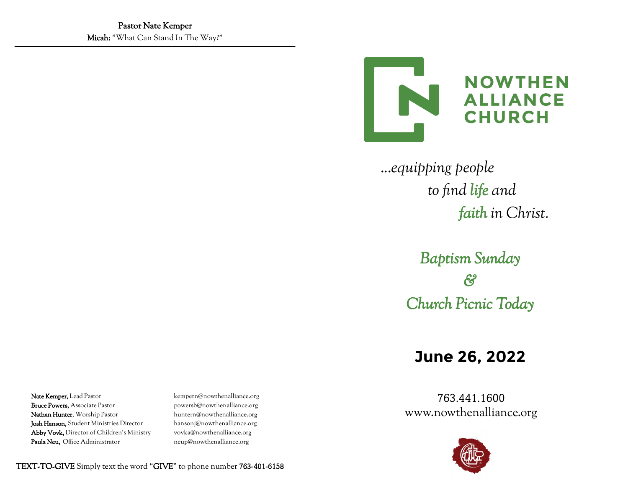

 *...equipping people to find life and faith in Christ.*

> *Baptism Sunday & Church Picnic Today*

# **June 26, 2022**

763.441.1600 www.nowthenalliance.org



Nate Kemper, Lead Pastor kempern@nowthenalliance.org Bruce Powers, Associate Pastor powersb@nowthenalliance.org Nathan Hunter, Worship Pastor huntern@nowthenalliance.org

Josh Hanson, Student Ministries Director hansonj@nowthenalliance.org Abby Vovk, Director of Children's Ministry vovka@nowthenalliance.org Paula Neu, Office Administrator neup@nowthenalliance.org

TEXT-TO-GIVE Simply text the word "GIVE" to phone number 763-401-6158